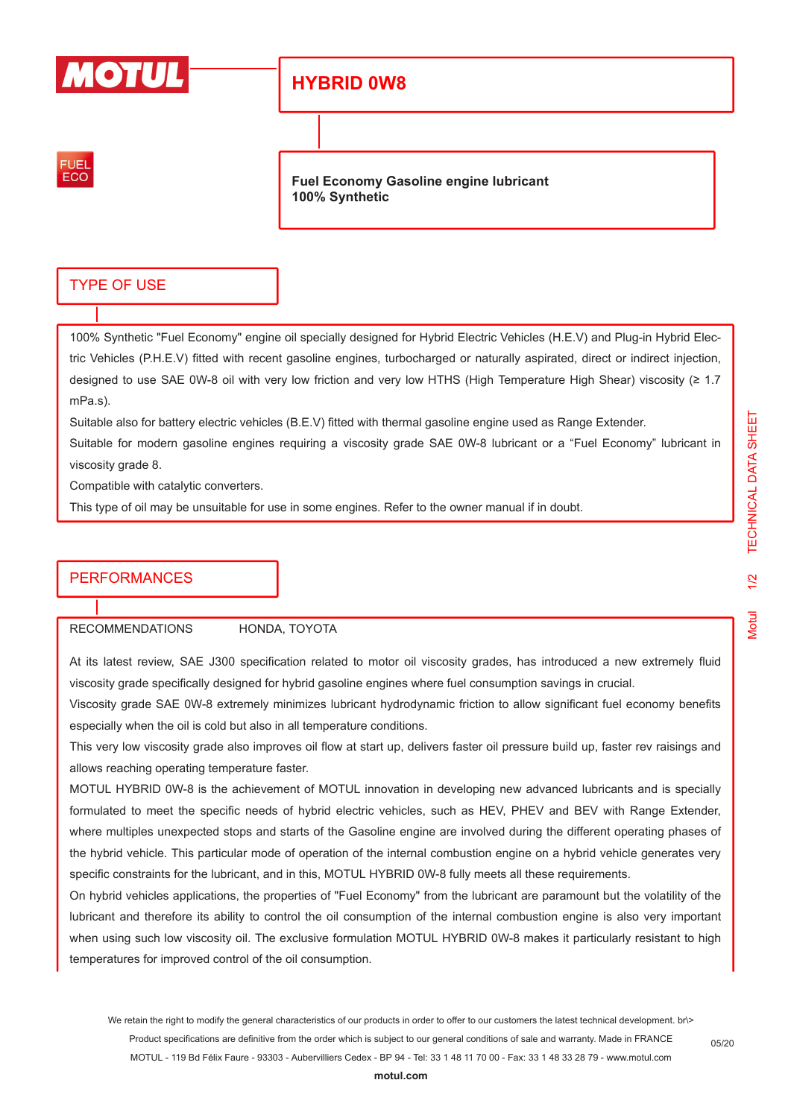

# **HYBRID 0W8**



**Fuel Economy Gasoline engine lubricant 100% Synthetic**

## TYPE OF USE

100% Synthetic "Fuel Economy" engine oil specially designed for Hybrid Electric Vehicles (H.E.V) and Plug-in Hybrid Electric Vehicles (P.H.E.V) fitted with recent gasoline engines, turbocharged or naturally aspirated, direct or indirect injection, designed to use SAE 0W-8 oil with very low friction and very low HTHS (High Temperature High Shear) viscosity (≥ 1.7 mPa.s).

Suitable also for battery electric vehicles (B.E.V) fitted with thermal gasoline engine used as Range Extender.

Suitable for modern gasoline engines requiring a viscosity grade SAE 0W-8 lubricant or a "Fuel Economy" lubricant in viscosity grade 8.

Compatible with catalytic converters.

This type of oil may be unsuitable for use in some engines. Refer to the owner manual if in doubt.

### **PERFORMANCES**

RECOMMENDATIONS HONDA, TOYOTA

At its latest review, SAE J300 specification related to motor oil viscosity grades, has introduced a new extremely fluid viscosity grade specifically designed for hybrid gasoline engines where fuel consumption savings in crucial.

Viscosity grade SAE 0W-8 extremely minimizes lubricant hydrodynamic friction to allow significant fuel economy benefits especially when the oil is cold but also in all temperature conditions.

This very low viscosity grade also improves oil flow at start up, delivers faster oil pressure build up, faster rev raisings and allows reaching operating temperature faster.

MOTUL HYBRID 0W-8 is the achievement of MOTUL innovation in developing new advanced lubricants and is specially formulated to meet the specific needs of hybrid electric vehicles, such as HEV, PHEV and BEV with Range Extender, where multiples unexpected stops and starts of the Gasoline engine are involved during the different operating phases of the hybrid vehicle. This particular mode of operation of the internal combustion engine on a hybrid vehicle generates very specific constraints for the lubricant, and in this, MOTUL HYBRID 0W-8 fully meets all these requirements.

On hybrid vehicles applications, the properties of "Fuel Economy" from the lubricant are paramount but the volatility of the lubricant and therefore its ability to control the oil consumption of the internal combustion engine is also very important when using such low viscosity oil. The exclusive formulation MOTUL HYBRID 0W-8 makes it particularly resistant to high temperatures for improved control of the oil consumption.

05/20